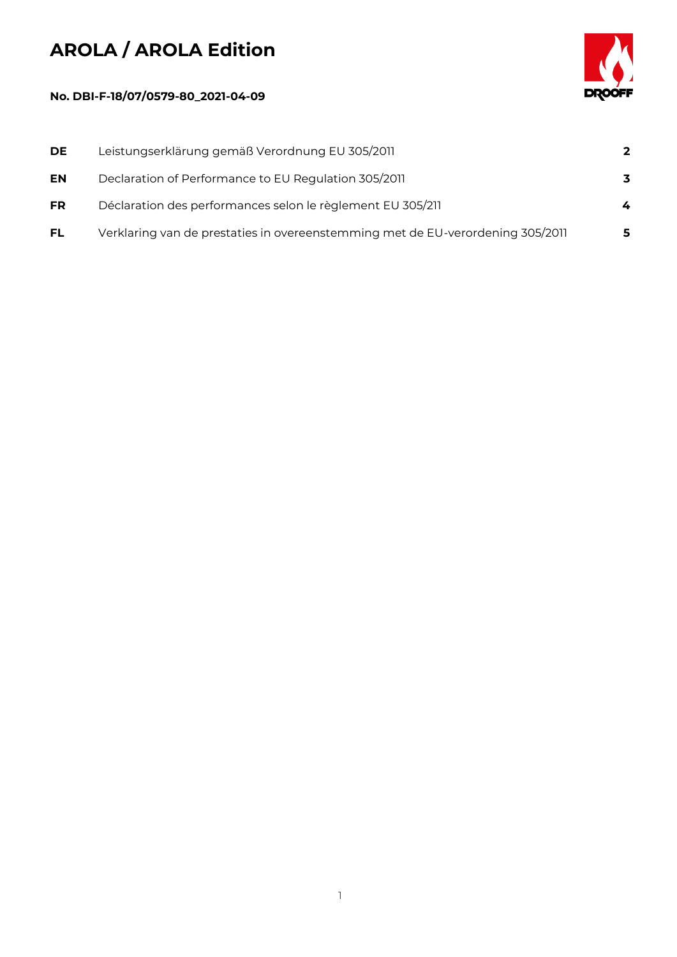## **AROLA / AROLA Edition**



## **No. DBI-F-18/07/0579-80\_2021-04-09**

| DE        | Leistungserklärung gemäß Verordnung EU 305/2011                                | $\mathbf{2}$ |
|-----------|--------------------------------------------------------------------------------|--------------|
| EN        | Declaration of Performance to EU Regulation 305/2011                           | 3            |
| <b>FR</b> | Déclaration des performances selon le règlement EU 305/211                     | 4            |
| <b>FL</b> | Verklaring van de prestaties in overeenstemming met de EU-verordening 305/2011 | 5            |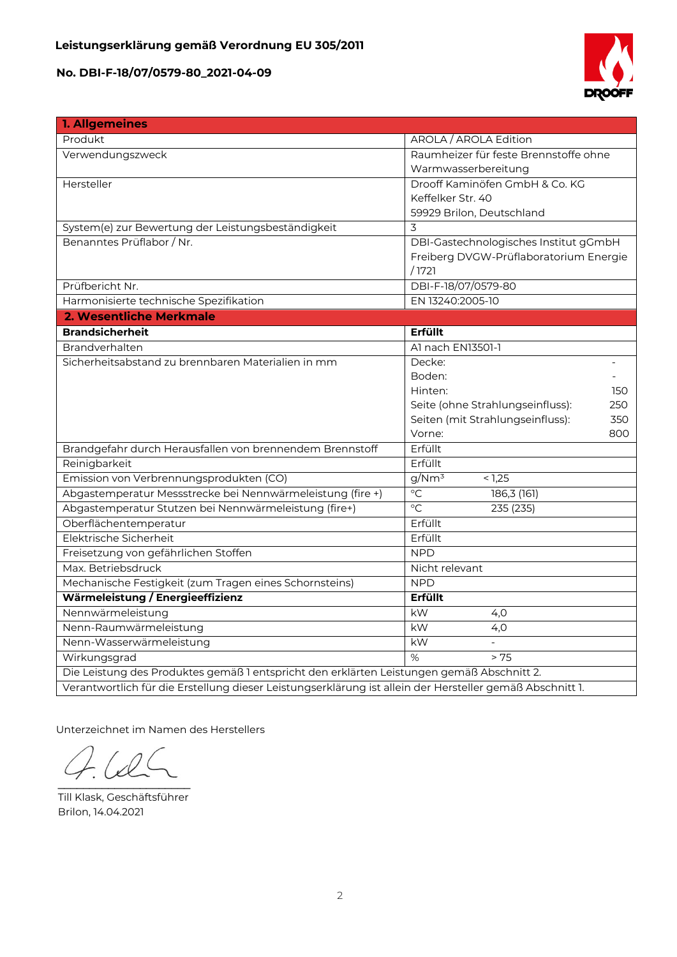

| 1. Allgemeines                                                                                           |                                         |  |  |
|----------------------------------------------------------------------------------------------------------|-----------------------------------------|--|--|
| Produkt                                                                                                  | AROLA / AROLA Edition                   |  |  |
| Verwendungszweck                                                                                         | Raumheizer für feste Brennstoffe ohne   |  |  |
|                                                                                                          | Warmwasserbereitung                     |  |  |
| Hersteller                                                                                               | Drooff Kaminöfen GmbH & Co. KG          |  |  |
|                                                                                                          | Keffelker Str. 40                       |  |  |
|                                                                                                          | 59929 Brilon, Deutschland               |  |  |
| System(e) zur Bewertung der Leistungsbeständigkeit                                                       | 3                                       |  |  |
| Benanntes Prüflabor / Nr.                                                                                | DBI-Gastechnologisches Institut gGmbH   |  |  |
|                                                                                                          | Freiberg DVGW-Prüflaboratorium Energie  |  |  |
|                                                                                                          | /1721                                   |  |  |
| Prüfbericht Nr.                                                                                          | DBI-F-18/07/0579-80                     |  |  |
| Harmonisierte technische Spezifikation                                                                   | EN 13240:2005-10                        |  |  |
| 2. Wesentliche Merkmale                                                                                  |                                         |  |  |
| <b>Brandsicherheit</b>                                                                                   | Erfüllt                                 |  |  |
| <b>Brandverhalten</b>                                                                                    | Al nach EN13501-1                       |  |  |
| Sicherheitsabstand zu brennbaren Materialien in mm                                                       | Decke:                                  |  |  |
|                                                                                                          | Boden:                                  |  |  |
|                                                                                                          | Hinten:<br>150                          |  |  |
|                                                                                                          | Seite (ohne Strahlungseinfluss):<br>250 |  |  |
|                                                                                                          | Seiten (mit Strahlungseinfluss):<br>350 |  |  |
|                                                                                                          | Vorne:<br>800                           |  |  |
| Brandgefahr durch Herausfallen von brennendem Brennstoff                                                 | Erfüllt                                 |  |  |
| Reinigbarkeit                                                                                            | Erfüllt                                 |  |  |
| Emission von Verbrennungsprodukten (CO)                                                                  | g/Nm <sup>3</sup><br>< 1,25             |  |  |
| Abgastemperatur Messstrecke bei Nennwärmeleistung (fire +)                                               | $\overline{C}$<br>186,3(161)            |  |  |
| Abgastemperatur Stutzen bei Nennwärmeleistung (fire+)                                                    | $\overline{C}$<br>235 (235)             |  |  |
| Oberflächentemperatur                                                                                    | Erfüllt                                 |  |  |
| Elektrische Sicherheit                                                                                   | Erfüllt                                 |  |  |
| Freisetzung von gefährlichen Stoffen                                                                     | <b>NPD</b>                              |  |  |
| Max. Betriebsdruck                                                                                       | Nicht relevant                          |  |  |
| Mechanische Festigkeit (zum Tragen eines Schornsteins)                                                   | <b>NPD</b>                              |  |  |
| Wärmeleistung / Energieeffizienz                                                                         | Erfüllt                                 |  |  |
| Nennwärmeleistung                                                                                        | kW<br>4,0                               |  |  |
| Nenn-Raumwärmeleistung                                                                                   | kW<br>4,0                               |  |  |
| Nenn-Wasserwärmeleistung                                                                                 | kW                                      |  |  |
| Wirkungsgrad                                                                                             | %<br>> 75                               |  |  |
| Die Leistung des Produktes gemäß 1 entspricht den erklärten Leistungen gemäß Abschnitt 2.                |                                         |  |  |
| Verantwortlich für die Erstellung dieser Leistungserklärung ist allein der Hersteller gemäß Abschnitt 1. |                                         |  |  |

Unterzeichnet im Namen des Herstellers

 $\Omega$  $\overline{\phantom{a}}$ 

Till Klask, Geschäftsführer Brilon, 14.04.2021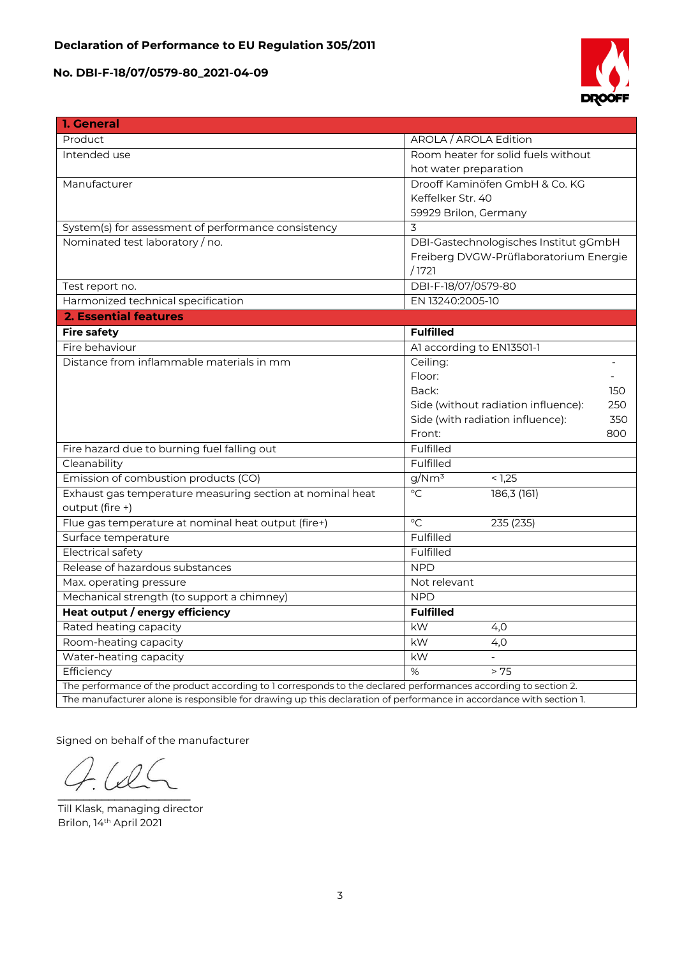

| 1. General                                                                                                         |                                            |  |
|--------------------------------------------------------------------------------------------------------------------|--------------------------------------------|--|
| Product                                                                                                            | AROLA / AROLA Edition                      |  |
| Intended use                                                                                                       | Room heater for solid fuels without        |  |
|                                                                                                                    | hot water preparation                      |  |
| Manufacturer                                                                                                       | Drooff Kaminöfen GmbH & Co. KG             |  |
|                                                                                                                    | Keffelker Str. 40                          |  |
|                                                                                                                    | 59929 Brilon, Germany                      |  |
| System(s) for assessment of performance consistency                                                                | 3                                          |  |
| Nominated test laboratory / no.                                                                                    | DBI-Gastechnologisches Institut gGmbH      |  |
|                                                                                                                    | Freiberg DVGW-Prüflaboratorium Energie     |  |
|                                                                                                                    | /1721                                      |  |
| Test report no.                                                                                                    | DBI-F-18/07/0579-80                        |  |
| Harmonized technical specification                                                                                 | EN 13240:2005-10                           |  |
| <b>2. Essential features</b>                                                                                       |                                            |  |
| <b>Fire safety</b>                                                                                                 | <b>Fulfilled</b>                           |  |
| Fire behaviour                                                                                                     | Al according to EN13501-1                  |  |
| Distance from inflammable materials in mm                                                                          | Ceiling:                                   |  |
|                                                                                                                    | Floor:                                     |  |
|                                                                                                                    | Back:<br>150                               |  |
|                                                                                                                    | Side (without radiation influence):<br>250 |  |
|                                                                                                                    | 350<br>Side (with radiation influence):    |  |
|                                                                                                                    | Front:<br>800                              |  |
| Fire hazard due to burning fuel falling out                                                                        | Fulfilled                                  |  |
| Cleanability                                                                                                       | Fulfilled                                  |  |
| Emission of combustion products (CO)                                                                               | g/Nm <sup>3</sup><br>< 1,25                |  |
| Exhaust gas temperature measuring section at nominal heat                                                          | $\overline{C}$<br>186,3 (161)              |  |
| output (fire +)                                                                                                    |                                            |  |
| Flue gas temperature at nominal heat output (fire+)                                                                | $\rm ^{\circ}C$<br>235 (235)               |  |
| Surface temperature                                                                                                | Fulfilled                                  |  |
| <b>Electrical safety</b>                                                                                           | Fulfilled                                  |  |
| Release of hazardous substances                                                                                    | <b>NPD</b>                                 |  |
| Max. operating pressure                                                                                            | Not relevant                               |  |
| Mechanical strength (to support a chimney)                                                                         | <b>NPD</b>                                 |  |
| Heat output / energy efficiency                                                                                    | <b>Fulfilled</b>                           |  |
| Rated heating capacity                                                                                             | kW<br>4,0                                  |  |
| Room-heating capacity                                                                                              | kW<br>4,0                                  |  |
| Water-heating capacity                                                                                             | kW<br>$\overline{a}$                       |  |
| Efficiency                                                                                                         | %<br>> 75                                  |  |
| The performance of the product according to 1 corresponds to the declared performances according to section 2.     |                                            |  |
| The manufacturer alone is responsible for drawing up this declaration of performance in accordance with section 1. |                                            |  |

Signed on behalf of the manufacturer

 $\mathcal{L}$  and  $\mathcal{L}$  and  $\mathcal{L}$ 

Till Klask, managing director Brilon, 14th April 2021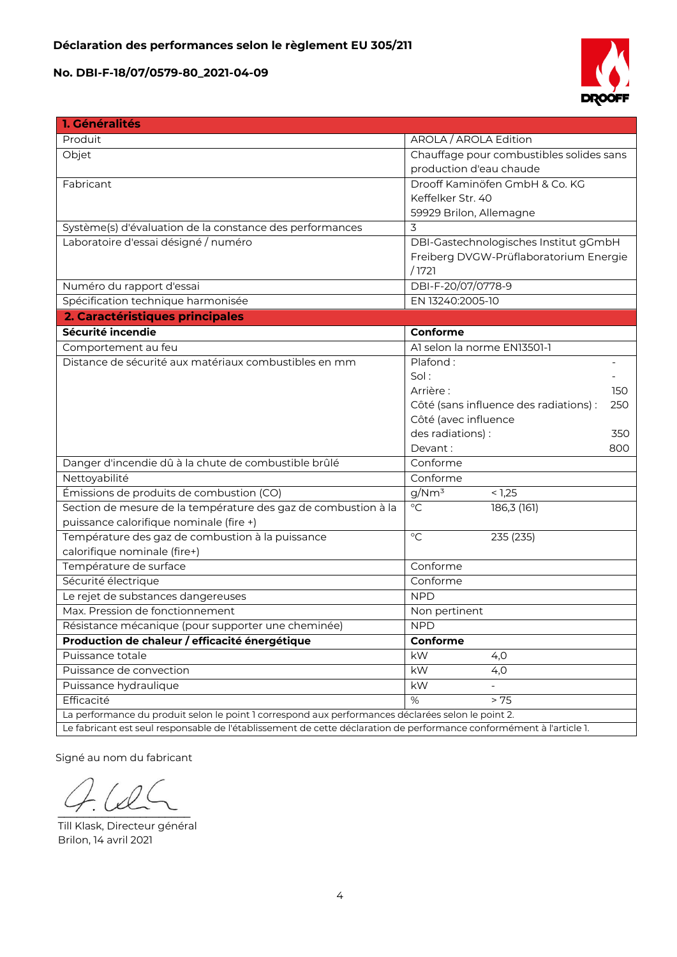

| 1. Généralités                                                                                                       |                                               |  |  |
|----------------------------------------------------------------------------------------------------------------------|-----------------------------------------------|--|--|
| Produit                                                                                                              | AROLA / AROLA Edition                         |  |  |
| Objet                                                                                                                | Chauffage pour combustibles solides sans      |  |  |
|                                                                                                                      | production d'eau chaude                       |  |  |
| Fabricant                                                                                                            | Drooff Kaminöfen GmbH & Co. KG                |  |  |
|                                                                                                                      | Keffelker Str. 40                             |  |  |
|                                                                                                                      | 59929 Brilon, Allemagne                       |  |  |
| Système(s) d'évaluation de la constance des performances                                                             | 3                                             |  |  |
| Laboratoire d'essai désigné / numéro                                                                                 | DBI-Gastechnologisches Institut gGmbH         |  |  |
|                                                                                                                      | Freiberg DVGW-Prüflaboratorium Energie        |  |  |
|                                                                                                                      | /1721                                         |  |  |
| Numéro du rapport d'essai                                                                                            | DBI-F-20/07/0778-9                            |  |  |
| Spécification technique harmonisée                                                                                   | EN 13240:2005-10                              |  |  |
| 2. Caractéristiques principales                                                                                      |                                               |  |  |
| Sécurité incendie                                                                                                    | Conforme                                      |  |  |
| Comportement au feu                                                                                                  | Al selon la norme EN13501-1                   |  |  |
| Distance de sécurité aux matériaux combustibles en mm                                                                | Plafond:                                      |  |  |
|                                                                                                                      | Sol:                                          |  |  |
|                                                                                                                      | Arrière:<br>150                               |  |  |
|                                                                                                                      | Côté (sans influence des radiations) :<br>250 |  |  |
|                                                                                                                      | Côté (avec influence                          |  |  |
|                                                                                                                      | des radiations) :<br>350                      |  |  |
|                                                                                                                      | Devant:<br>800                                |  |  |
| Danger d'incendie dû à la chute de combustible brûlé                                                                 | Conforme                                      |  |  |
| Nettoyabilité                                                                                                        | Conforme                                      |  |  |
| Émissions de produits de combustion (CO)                                                                             | g/Nm <sup>3</sup><br>< 1,25                   |  |  |
| Section de mesure de la température des gaz de combustion à la                                                       | $\overline{C}$<br>186,3(161)                  |  |  |
| puissance calorifique nominale (fire +)                                                                              |                                               |  |  |
| Température des gaz de combustion à la puissance                                                                     | $\rm ^{\circ}C$<br>235 (235)                  |  |  |
| calorifique nominale (fire+)                                                                                         |                                               |  |  |
| Température de surface                                                                                               | Conforme                                      |  |  |
| Sécurité électrique                                                                                                  | Conforme                                      |  |  |
| Le rejet de substances dangereuses                                                                                   | <b>NPD</b>                                    |  |  |
| Max. Pression de fonctionnement                                                                                      | Non pertinent                                 |  |  |
| Résistance mécanique (pour supporter une cheminée)                                                                   | <b>NPD</b>                                    |  |  |
| Production de chaleur / efficacité énergétique                                                                       | Conforme                                      |  |  |
| Puissance totale                                                                                                     | kW<br>4,0                                     |  |  |
| Puissance de convection                                                                                              | kW<br>4,0                                     |  |  |
| Puissance hydraulique                                                                                                | kW                                            |  |  |
| Efficacité                                                                                                           | %<br>> 75                                     |  |  |
| La performance du produit selon le point 1 correspond aux performances déclarées selon le point 2.                   |                                               |  |  |
| Le fabricant est seul responsable de l'établissement de cette déclaration de performance conformément à l'article 1. |                                               |  |  |

Signé au nom du fabricant

 $\sim$ 

Till Klask, Directeur général Brilon, 14 avril 2021